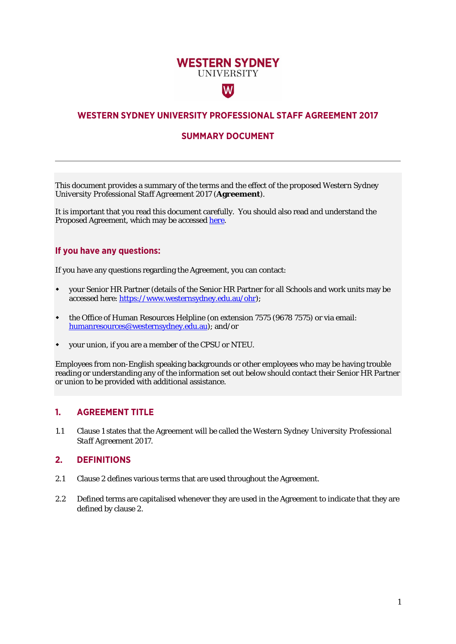# **WESTERN SYDNEY UNIVERSITY**

 $|\mathsf{W}|$ 

# **WESTERN SYDNEY UNIVERSITY PROFESSIONAL STAFF AGREEMENT 2017**

# **SUMMARY DOCUMENT**

This document provides a summary of the terms and the effect of the proposed *Western Sydney University Professional Staff Agreement 2017* (**Agreement**).

It is important that you read this document carefully. You should also read and understand the Proposed Agreement, which may be accessed [here.](https://www.westernsydney.edu.au/human_resources/ohr/uws_enterprise_agreements)

# **If you have any questions:**

If you have any questions regarding the Agreement, you can contact:

- your Senior HR Partner (details of the Senior HR Partner for all Schools and work units may be accessed here[: https://www.westernsydney.edu.au/ohr\)](https://www.westernsydney.edu.au/ohr);
- the Office of Human Resources Helpline (on extension 7575 (9678 7575) or via email: [humanresources@westernsydney.edu.au\)](mailto:humanresources@westernsydney.edu.au); and/or
- your union, if you are a member of the CPSU or NTEU.

Employees from non-English speaking backgrounds or other employees who may be having trouble reading or understanding any of the information set out below should contact their Senior HR Partner or union to be provided with additional assistance.

## **1. AGREEMENT TITLE**

1.1 Clause 1 states that the Agreement will be called the *Western Sydney University Professional Staff Agreement 2017*.

## **2. DEFINITIONS**

- 2.1 Clause 2 defines various terms that are used throughout the Agreement.
- 2.2 Defined terms are capitalised whenever they are used in the Agreement to indicate that they are defined by clause 2.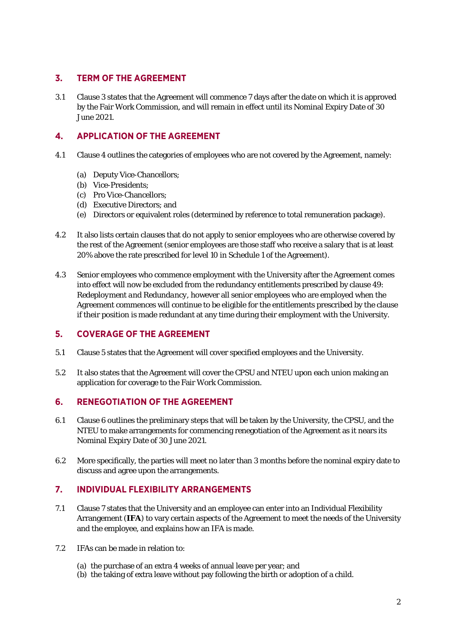# **3. TERM OF THE AGREEMENT**

3.1 Clause 3 states that the Agreement will commence 7 days after the date on which it is approved by the Fair Work Commission, and will remain in effect until its Nominal Expiry Date of 30 June 2021.

# **4. APPLICATION OF THE AGREEMENT**

- 4.1 Clause 4 outlines the categories of employees who are not covered by the Agreement, namely:
	- (a) Deputy Vice-Chancellors;
	- (b) Vice-Presidents;
	- (c) Pro Vice-Chancellors;
	- (d) Executive Directors; and
	- (e) Directors or equivalent roles (determined by reference to total remuneration package).
- 4.2 It also lists certain clauses that do not apply to senior employees who are otherwise covered by the rest of the Agreement (senior employees are those staff who receive a salary that is at least 20% above the rate prescribed for level 10 in Schedule 1 of the Agreement).
- 4.3 Senior employees who commence employment with the University after the Agreement comes into effect will now be excluded from the redundancy entitlements prescribed by clause 49: *Redeployment and Redundancy*, however all senior employees who are employed when the Agreement commences will continue to be eligible for the entitlements prescribed by the clause if their position is made redundant at any time during their employment with the University.

## **5. COVERAGE OF THE AGREEMENT**

- 5.1 Clause 5 states that the Agreement will cover specified employees and the University.
- 5.2 It also states that the Agreement will cover the CPSU and NTEU upon each union making an application for coverage to the Fair Work Commission.

## **6. RENEGOTIATION OF THE AGREEMENT**

- 6.1 Clause 6 outlines the preliminary steps that will be taken by the University, the CPSU, and the NTEU to make arrangements for commencing renegotiation of the Agreement as it nears its Nominal Expiry Date of 30 June 2021.
- 6.2 More specifically, the parties will meet no later than 3 months before the nominal expiry date to discuss and agree upon the arrangements.

# **7. INDIVIDUAL FLEXIBILITY ARRANGEMENTS**

- 7.1 Clause 7 states that the University and an employee can enter into an Individual Flexibility Arrangement (**IFA**) to vary certain aspects of the Agreement to meet the needs of the University and the employee, and explains how an IFA is made.
- 7.2 IFAs can be made in relation to:
	- (a) the purchase of an extra 4 weeks of annual leave per year; and
	- (b) the taking of extra leave without pay following the birth or adoption of a child.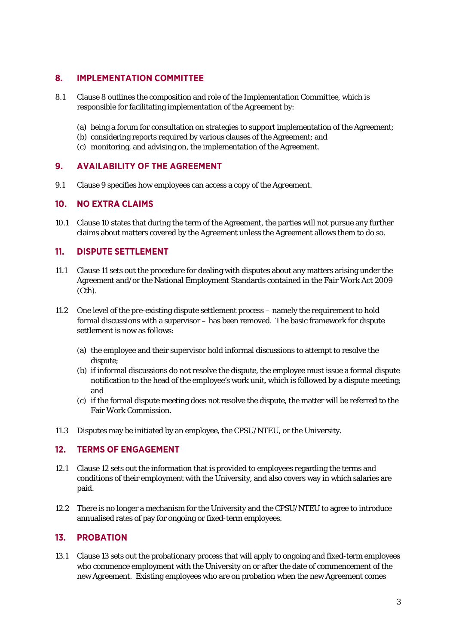# **8. IMPLEMENTATION COMMITTEE**

- 8.1 Clause 8 outlines the composition and role of the Implementation Committee, which is responsible for facilitating implementation of the Agreement by:
	- (a) being a forum for consultation on strategies to support implementation of the Agreement;
	- (b) considering reports required by various clauses of the Agreement; and
	- (c) monitoring, and advising on, the implementation of the Agreement.

## **9. AVAILABILITY OF THE AGREEMENT**

9.1 Clause 9 specifies how employees can access a copy of the Agreement.

#### **10. NO EXTRA CLAIMS**

10.1 Clause 10 states that during the term of the Agreement, the parties will not pursue any further claims about matters covered by the Agreement unless the Agreement allows them to do so.

## **11. DISPUTE SETTLEMENT**

- 11.1 Clause 11 sets out the procedure for dealing with disputes about any matters arising under the Agreement and/or the National Employment Standards contained in the *Fair Work Act* 2009 (Cth).
- 11.2 One level of the pre-existing dispute settlement process namely the requirement to hold formal discussions with a supervisor – has been removed. The basic framework for dispute settlement is now as follows:
	- (a) the employee and their supervisor hold informal discussions to attempt to resolve the dispute;
	- (b) if informal discussions do not resolve the dispute, the employee must issue a formal dispute notification to the head of the employee's work unit, which is followed by a dispute meeting; and
	- (c) if the formal dispute meeting does not resolve the dispute, the matter will be referred to the Fair Work Commission.
- 11.3 Disputes may be initiated by an employee, the CPSU/NTEU, or the University.

# **12. TERMS OF ENGAGEMENT**

- 12.1 Clause 12 sets out the information that is provided to employees regarding the terms and conditions of their employment with the University, and also covers way in which salaries are paid.
- 12.2 There is no longer a mechanism for the University and the CPSU/NTEU to agree to introduce annualised rates of pay for ongoing or fixed-term employees.

## **13. PROBATION**

13.1 Clause 13 sets out the probationary process that will apply to ongoing and fixed-term employees who commence employment with the University on or after the date of commencement of the new Agreement. Existing employees who are on probation when the new Agreement comes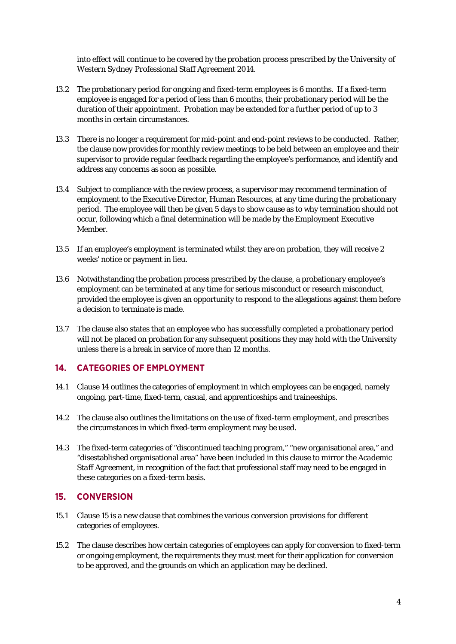into effect will continue to be covered by the probation process prescribed by the *University of Western Sydney Professional Staff Agreement 2014.*

- 13.2 The probationary period for ongoing and fixed-term employees is 6 months. If a fixed-term employee is engaged for a period of less than 6 months, their probationary period will be the duration of their appointment. Probation may be extended for a further period of up to 3 months in certain circumstances.
- 13.3 There is no longer a requirement for mid-point and end-point reviews to be conducted. Rather, the clause now provides for monthly review meetings to be held between an employee and their supervisor to provide regular feedback regarding the employee's performance, and identify and address any concerns as soon as possible.
- 13.4 Subject to compliance with the review process, a supervisor may recommend termination of employment to the Executive Director, Human Resources, at any time during the probationary period. The employee will then be given 5 days to show cause as to why termination should not occur, following which a final determination will be made by the Employment Executive Member.
- 13.5 If an employee's employment is terminated whilst they are on probation, they will receive 2 weeks' notice or payment in lieu.
- 13.6 Notwithstanding the probation process prescribed by the clause, a probationary employee's employment can be terminated at any time for serious misconduct or research misconduct, provided the employee is given an opportunity to respond to the allegations against them before a decision to terminate is made.
- 13.7 The clause also states that an employee who has successfully completed a probationary period will not be placed on probation for any subsequent positions they may hold with the University unless there is a break in service of more than 12 months.

## **14. CATEGORIES OF EMPLOYMENT**

- 14.1 Clause 14 outlines the categories of employment in which employees can be engaged, namely ongoing, part-time, fixed-term, casual, and apprenticeships and traineeships.
- 14.2 The clause also outlines the limitations on the use of fixed-term employment, and prescribes the circumstances in which fixed-term employment may be used.
- 14.3 The fixed-term categories of "discontinued teaching program," "new organisational area," and "disestablished organisational area" have been included in this clause to mirror the *Academic Staff Agreement*, in recognition of the fact that professional staff may need to be engaged in these categories on a fixed-term basis.

## **15. CONVERSION**

- 15.1 Clause 15 is a new clause that combines the various conversion provisions for different categories of employees.
- 15.2 The clause describes how certain categories of employees can apply for conversion to fixed-term or ongoing employment, the requirements they must meet for their application for conversion to be approved, and the grounds on which an application may be declined.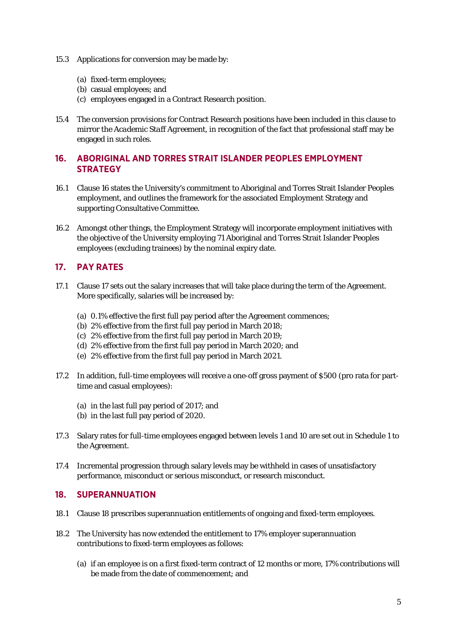- 15.3 Applications for conversion may be made by:
	- (a) fixed-term employees;
	- (b) casual employees; and
	- (c) employees engaged in a Contract Research position.
- 15.4 The conversion provisions for Contract Research positions have been included in this clause to mirror the *Academic Staff Agreement*, in recognition of the fact that professional staff may be engaged in such roles.

# **16. ABORIGINAL AND TORRES STRAIT ISLANDER PEOPLES EMPLOYMENT STRATEGY**

- 16.1 Clause 16 states the University's commitment to Aboriginal and Torres Strait Islander Peoples employment, and outlines the framework for the associated Employment Strategy and supporting Consultative Committee.
- 16.2 Amongst other things, the Employment Strategy will incorporate employment initiatives with the objective of the University employing 71 Aboriginal and Torres Strait Islander Peoples employees (excluding trainees) by the nominal expiry date.

# **17. PAY RATES**

- 17.1 Clause 17 sets out the salary increases that will take place during the term of the Agreement. More specifically, salaries will be increased by:
	- (a) 0.1% effective the first full pay period after the Agreement commences;
	- (b) 2% effective from the first full pay period in March 2018;
	- (c) 2% effective from the first full pay period in March 2019;
	- (d) 2% effective from the first full pay period in March 2020; and
	- (e) 2% effective from the first full pay period in March 2021.
- 17.2 In addition, full-time employees will receive a one-off gross payment of \$500 (pro rata for parttime and casual employees):
	- (a) in the last full pay period of 2017; and
	- (b) in the last full pay period of 2020.
- 17.3 Salary rates for full-time employees engaged between levels 1 and 10 are set out in Schedule 1 to the Agreement.
- 17.4 Incremental progression through salary levels may be withheld in cases of unsatisfactory performance, misconduct or serious misconduct, or research misconduct.

#### **18. SUPERANNUATION**

- 18.1 Clause 18 prescribes superannuation entitlements of ongoing and fixed-term employees.
- 18.2 The University has now extended the entitlement to 17% employer superannuation contributions to fixed-term employees as follows:
	- (a) if an employee is on a first fixed-term contract of 12 months or more, 17% contributions will be made from the date of commencement; and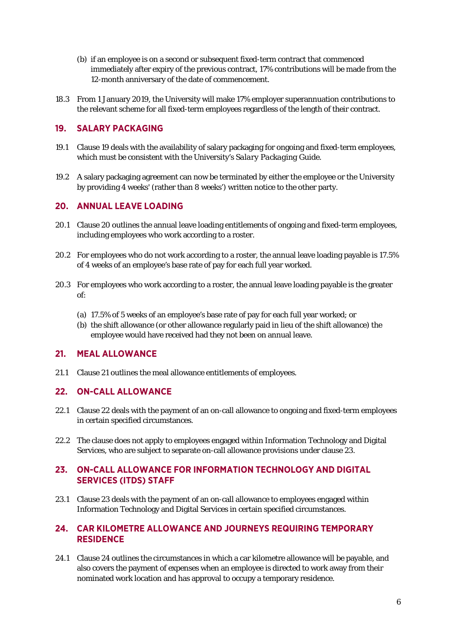- (b) if an employee is on a second or subsequent fixed-term contract that commenced immediately after expiry of the previous contract, 17% contributions will be made from the 12-month anniversary of the date of commencement.
- 18.3 From 1 January 2019, the University will make 17% employer superannuation contributions to the relevant scheme for all fixed-term employees regardless of the length of their contract.

# **19. SALARY PACKAGING**

- 19.1 Clause 19 deals with the availability of salary packaging for ongoing and fixed-term employees, which must be consistent with the University's *Salary Packaging Guide*.
- 19.2 A salary packaging agreement can now be terminated by either the employee or the University by providing 4 weeks' (rather than 8 weeks') written notice to the other party.

#### **20. ANNUAL LEAVE LOADING**

- 20.1 Clause 20 outlines the annual leave loading entitlements of ongoing and fixed-term employees, including employees who work according to a roster.
- 20.2 For employees who do not work according to a roster, the annual leave loading payable is 17.5% of 4 weeks of an employee's base rate of pay for each full year worked.
- 20.3 For employees who work according to a roster, the annual leave loading payable is the greater of:
	- (a) 17.5% of 5 weeks of an employee's base rate of pay for each full year worked; or
	- (b) the shift allowance (or other allowance regularly paid in lieu of the shift allowance) the employee would have received had they not been on annual leave.

## **21. MEAL ALLOWANCE**

21.1 Clause 21 outlines the meal allowance entitlements of employees.

## **22. ON-CALL ALLOWANCE**

- 22.1 Clause 22 deals with the payment of an on-call allowance to ongoing and fixed-term employees in certain specified circumstances.
- 22.2 The clause does not apply to employees engaged within Information Technology and Digital Services, who are subject to separate on-call allowance provisions under clause 23.

## **23. ON-CALL ALLOWANCE FOR INFORMATION TECHNOLOGY AND DIGITAL SERVICES (ITDS) STAFF**

23.1 Clause 23 deals with the payment of an on-call allowance to employees engaged within Information Technology and Digital Services in certain specified circumstances.

## **24. CAR KILOMETRE ALLOWANCE AND JOURNEYS REQUIRING TEMPORARY RESIDENCE**

24.1 Clause 24 outlines the circumstances in which a car kilometre allowance will be payable, and also covers the payment of expenses when an employee is directed to work away from their nominated work location and has approval to occupy a temporary residence.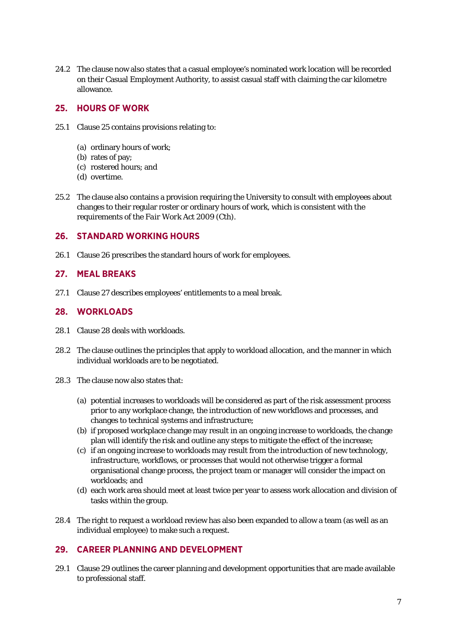24.2 The clause now also states that a casual employee's nominated work location will be recorded on their Casual Employment Authority, to assist casual staff with claiming the car kilometre allowance.

# **25. HOURS OF WORK**

- 25.1 Clause 25 contains provisions relating to:
	- (a) ordinary hours of work;
	- (b) rates of pay;
	- (c) rostered hours; and
	- (d) overtime.
- 25.2 The clause also contains a provision requiring the University to consult with employees about changes to their regular roster or ordinary hours of work, which is consistent with the requirements of the *Fair Work Act* 2009 (Cth).

#### **26. STANDARD WORKING HOURS**

26.1 Clause 26 prescribes the standard hours of work for employees.

#### **27. MEAL BREAKS**

27.1 Clause 27 describes employees' entitlements to a meal break.

#### **28. WORKLOADS**

- 28.1 Clause 28 deals with workloads.
- 28.2 The clause outlines the principles that apply to workload allocation, and the manner in which individual workloads are to be negotiated.
- 28.3 The clause now also states that:
	- (a) potential increases to workloads will be considered as part of the risk assessment process prior to any workplace change, the introduction of new workflows and processes, and changes to technical systems and infrastructure;
	- (b) if proposed workplace change may result in an ongoing increase to workloads, the change plan will identify the risk and outline any steps to mitigate the effect of the increase;
	- (c) if an ongoing increase to workloads may result from the introduction of new technology, infrastructure, workflows, or processes that would not otherwise trigger a formal organisational change process, the project team or manager will consider the impact on workloads; and
	- (d) each work area should meet at least twice per year to assess work allocation and division of tasks within the group.
- 28.4 The right to request a workload review has also been expanded to allow a team (as well as an individual employee) to make such a request.

# **29. CAREER PLANNING AND DEVELOPMENT**

29.1 Clause 29 outlines the career planning and development opportunities that are made available to professional staff.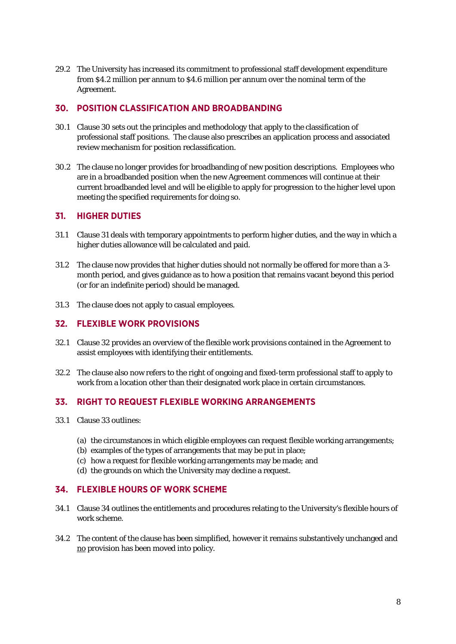29.2 The University has increased its commitment to professional staff development expenditure from \$4.2 million per annum to \$4.6 million per annum over the nominal term of the Agreement.

# **30. POSITION CLASSIFICATION AND BROADBANDING**

- 30.1 Clause 30 sets out the principles and methodology that apply to the classification of professional staff positions. The clause also prescribes an application process and associated review mechanism for position reclassification.
- 30.2 The clause no longer provides for broadbanding of new position descriptions. Employees who are in a broadbanded position when the new Agreement commences will continue at their current broadbanded level and will be eligible to apply for progression to the higher level upon meeting the specified requirements for doing so.

## **31. HIGHER DUTIES**

- 31.1 Clause 31 deals with temporary appointments to perform higher duties, and the way in which a higher duties allowance will be calculated and paid.
- 31.2 The clause now provides that higher duties should not normally be offered for more than a 3 month period, and gives guidance as to how a position that remains vacant beyond this period (or for an indefinite period) should be managed.
- 31.3 The clause does not apply to casual employees.

# **32. FLEXIBLE WORK PROVISIONS**

- 32.1 Clause 32 provides an overview of the flexible work provisions contained in the Agreement to assist employees with identifying their entitlements.
- 32.2 The clause also now refers to the right of ongoing and fixed-term professional staff to apply to work from a location other than their designated work place in certain circumstances.

## **33. RIGHT TO REQUEST FLEXIBLE WORKING ARRANGEMENTS**

- 33.1 Clause 33 outlines:
	- (a) the circumstances in which eligible employees can request flexible working arrangements;
	- (b) examples of the types of arrangements that may be put in place;
	- (c) how a request for flexible working arrangements may be made; and
	- (d) the grounds on which the University may decline a request.

## **34. FLEXIBLE HOURS OF WORK SCHEME**

- 34.1 Clause 34 outlines the entitlements and procedures relating to the University's flexible hours of work scheme.
- 34.2 The content of the clause has been simplified, however it remains substantively unchanged and no provision has been moved into policy.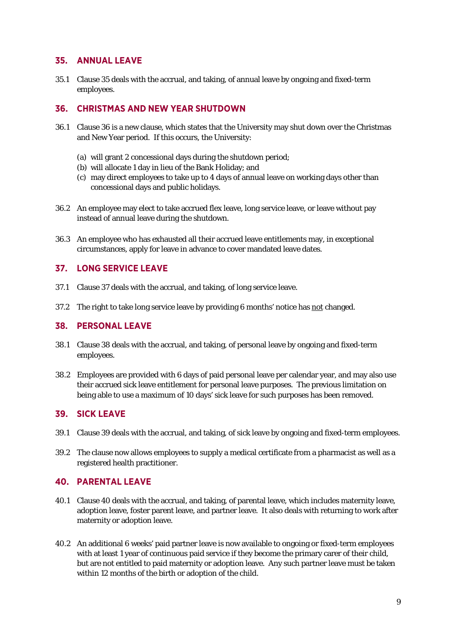## **35. ANNUAL LEAVE**

35.1 Clause 35 deals with the accrual, and taking, of annual leave by ongoing and fixed-term employees.

# **36. CHRISTMAS AND NEW YEAR SHUTDOWN**

- 36.1 Clause 36 is a new clause, which states that the University may shut down over the Christmas and New Year period. If this occurs, the University:
	- (a) will grant 2 concessional days during the shutdown period;
	- (b) will allocate 1 day in lieu of the Bank Holiday; and
	- (c) may direct employees to take up to 4 days of annual leave on working days other than concessional days and public holidays.
- 36.2 An employee may elect to take accrued flex leave, long service leave, or leave without pay instead of annual leave during the shutdown.
- 36.3 An employee who has exhausted all their accrued leave entitlements may, in exceptional circumstances, apply for leave in advance to cover mandated leave dates.

## **37. LONG SERVICE LEAVE**

- 37.1 Clause 37 deals with the accrual, and taking, of long service leave.
- 37.2 The right to take long service leave by providing 6 months' notice has not changed.

#### **38. PERSONAL LEAVE**

- 38.1 Clause 38 deals with the accrual, and taking, of personal leave by ongoing and fixed-term employees.
- 38.2 Employees are provided with 6 days of paid personal leave per calendar year, and may also use their accrued sick leave entitlement for personal leave purposes. The previous limitation on being able to use a maximum of 10 days' sick leave for such purposes has been removed.

## **39. SICK LEAVE**

- 39.1 Clause 39 deals with the accrual, and taking, of sick leave by ongoing and fixed-term employees.
- 39.2 The clause now allows employees to supply a medical certificate from a pharmacist as well as a registered health practitioner.

# **40. PARENTAL LEAVE**

- 40.1 Clause 40 deals with the accrual, and taking, of parental leave, which includes maternity leave, adoption leave, foster parent leave, and partner leave. It also deals with returning to work after maternity or adoption leave.
- 40.2 An additional 6 weeks' paid partner leave is now available to ongoing or fixed-term employees with at least 1 year of continuous paid service if they become the primary carer of their child, but are not entitled to paid maternity or adoption leave. Any such partner leave must be taken within 12 months of the birth or adoption of the child.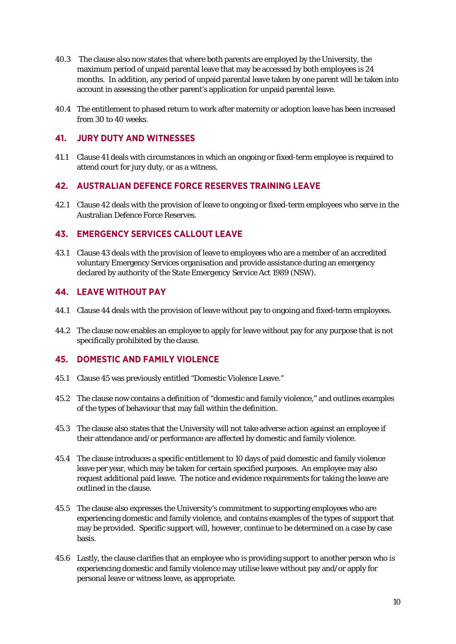- 40.3 The clause also now states that where both parents are employed by the University, the maximum period of unpaid parental leave that may be accessed by both employees is 24 months. In addition, any period of unpaid parental leave taken by one parent will be taken into account in assessing the other parent's application for unpaid parental leave.
- 40.4 The entitlement to phased return to work after maternity or adoption leave has been increased from 30 to 40 weeks.

# **41. JURY DUTY AND WITNESSES**

41.1 Clause 41 deals with circumstances in which an ongoing or fixed-term employee is required to attend court for jury duty, or as a witness.

# **42. AUSTRALIAN DEFENCE FORCE RESERVES TRAINING LEAVE**

42.1 Clause 42 deals with the provision of leave to ongoing or fixed-term employees who serve in the Australian Defence Force Reserves.

# **43. EMERGENCY SERVICES CALLOUT LEAVE**

43.1 Clause 43 deals with the provision of leave to employees who are a member of an accredited voluntary Emergency Services organisation and provide assistance during an emergency declared by authority of the *State Emergency Service Act* 1989 (NSW).

## **44. LEAVE WITHOUT PAY**

- 44.1 Clause 44 deals with the provision of leave without pay to ongoing and fixed-term employees.
- 44.2 The clause now enables an employee to apply for leave without pay for any purpose that is not specifically prohibited by the clause.

## **45. DOMESTIC AND FAMILY VIOLENCE**

- 45.1 Clause 45 was previously entitled "Domestic Violence Leave."
- 45.2 The clause now contains a definition of "domestic and family violence," and outlines examples of the types of behaviour that may fall within the definition.
- 45.3 The clause also states that the University will not take adverse action against an employee if their attendance and/or performance are affected by domestic and family violence.
- 45.4 The clause introduces a specific entitlement to 10 days of paid domestic and family violence leave per year, which may be taken for certain specified purposes. An employee may also request additional paid leave. The notice and evidence requirements for taking the leave are outlined in the clause.
- 45.5 The clause also expresses the University's commitment to supporting employees who are experiencing domestic and family violence, and contains examples of the types of support that may be provided. Specific support will, however, continue to be determined on a case by case basis.
- 45.6 Lastly, the clause clarifies that an employee who is providing support to another person who is experiencing domestic and family violence may utilise leave without pay and/or apply for personal leave or witness leave, as appropriate.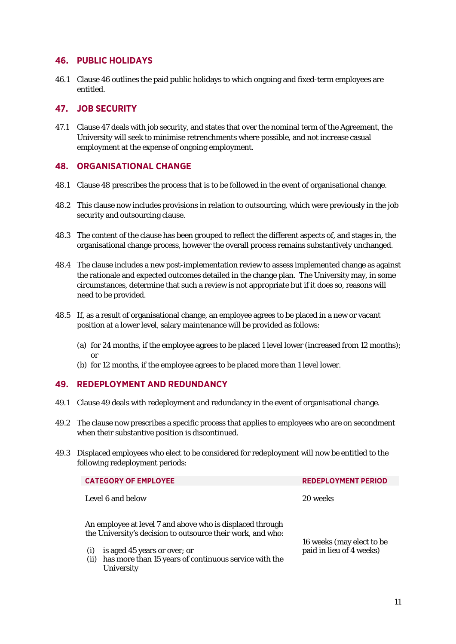## **46. PUBLIC HOLIDAYS**

46.1 Clause 46 outlines the paid public holidays to which ongoing and fixed-term employees are entitled.

#### **47. JOB SECURITY**

47.1 Clause 47 deals with job security, and states that over the nominal term of the Agreement, the University will seek to minimise retrenchments where possible, and not increase casual employment at the expense of ongoing employment.

#### **48. ORGANISATIONAL CHANGE**

- 48.1 Clause 48 prescribes the process that is to be followed in the event of organisational change.
- 48.2 This clause now includes provisions in relation to outsourcing, which were previously in the job security and outsourcing clause.
- 48.3 The content of the clause has been grouped to reflect the different aspects of, and stages in, the organisational change process, however the overall process remains substantively unchanged.
- 48.4 The clause includes a new post-implementation review to assess implemented change as against the rationale and expected outcomes detailed in the change plan. The University may, in some circumstances, determine that such a review is not appropriate but if it does so, reasons will need to be provided.
- 48.5 If, as a result of organisational change, an employee agrees to be placed in a new or vacant position at a lower level, salary maintenance will be provided as follows:
	- (a) for 24 months, if the employee agrees to be placed 1 level lower (increased from 12 months); or
	- (b) for 12 months, if the employee agrees to be placed more than 1 level lower.

## **49. REDEPLOYMENT AND REDUNDANCY**

- 49.1 Clause 49 deals with redeployment and redundancy in the event of organisational change.
- 49.2 The clause now prescribes a specific process that applies to employees who are on secondment when their substantive position is discontinued.
- 49.3 Displaced employees who elect to be considered for redeployment will now be entitled to the following redeployment periods:

| <b>CATEGORY OF EMPLOYEE</b>                                                                                              | <b>REDEPLOYMENT PERIOD</b> |
|--------------------------------------------------------------------------------------------------------------------------|----------------------------|
| Level 6 and below                                                                                                        | 20 weeks                   |
| An employee at level 7 and above who is displaced through<br>the University's decision to outsource their work, and who: | 16 weeks (may elect to be  |
| is aged 45 years or over; or<br>(i)<br>has more than 15 years of continuous service with the<br>(ii)<br>University       | paid in lieu of 4 weeks)   |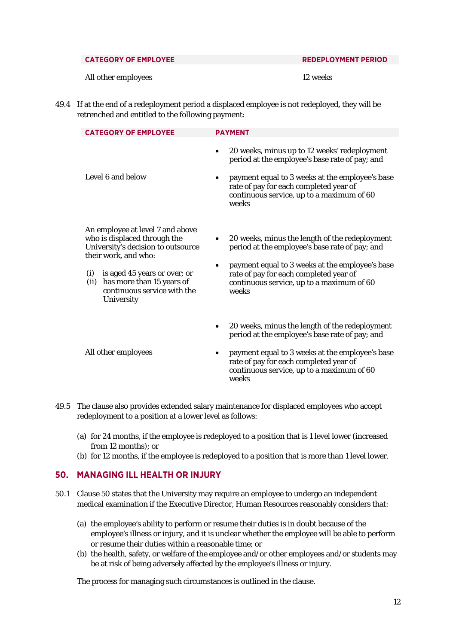#### **CATEGORY OF EMPLOYEE REDEPLOYMENT PERIOD**

All other employees and the state of  $12$  weeks

49.4 If at the end of a redeployment period a displaced employee is not redeployed, they will be retrenched and entitled to the following payment:

| <b>CATEGORY OF EMPLOYEE</b>                                                                                                                                                                                                                             | <b>PAYMENT</b>                                                                                                                                                                                                                                                              |
|---------------------------------------------------------------------------------------------------------------------------------------------------------------------------------------------------------------------------------------------------------|-----------------------------------------------------------------------------------------------------------------------------------------------------------------------------------------------------------------------------------------------------------------------------|
| Level 6 and below                                                                                                                                                                                                                                       | 20 weeks, minus up to 12 weeks' redeployment<br>$\bullet$<br>period at the employee's base rate of pay; and<br>payment equal to 3 weeks at the employee's base<br>$\bullet$<br>rate of pay for each completed year of<br>continuous service, up to a maximum of 60<br>weeks |
| An employee at level 7 and above<br>who is displaced through the<br>University's decision to outsource<br>their work, and who:<br>is aged 45 years or over; or<br>(i)<br>has more than 15 years of<br>(ii)<br>continuous service with the<br>University | 20 weeks, minus the length of the redeployment<br>period at the employee's base rate of pay; and<br>payment equal to 3 weeks at the employee's base<br>$\bullet$<br>rate of pay for each completed year of<br>continuous service, up to a maximum of 60<br>weeks            |
| All other employees                                                                                                                                                                                                                                     | 20 weeks, minus the length of the redeployment<br>٠<br>period at the employee's base rate of pay; and<br>payment equal to 3 weeks at the employee's base<br>$\bullet$<br>rate of pay for each completed year of<br>continuous service, up to a maximum of 60<br>weeks       |

- 49.5 The clause also provides extended salary maintenance for displaced employees who accept redeployment to a position at a lower level as follows:
	- (a) for 24 months, if the employee is redeployed to a position that is 1 level lower (increased from 12 months); or
	- (b) for 12 months, if the employee is redeployed to a position that is more than 1 level lower.

## **50. MANAGING ILL HEALTH OR INJURY**

- 50.1 Clause 50 states that the University may require an employee to undergo an independent medical examination if the Executive Director, Human Resources reasonably considers that:
	- (a) the employee's ability to perform or resume their duties is in doubt because of the employee's illness or injury, and it is unclear whether the employee will be able to perform or resume their duties within a reasonable time; or
	- (b) the health, safety, or welfare of the employee and/or other employees and/or students may be at risk of being adversely affected by the employee's illness or injury.

The process for managing such circumstances is outlined in the clause.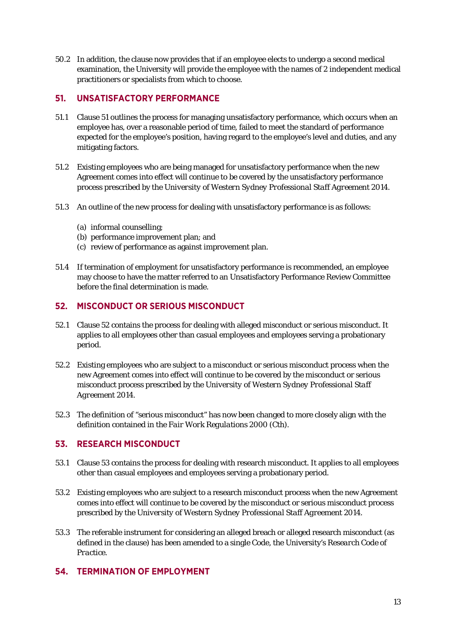50.2 In addition, the clause now provides that if an employee elects to undergo a second medical examination, the University will provide the employee with the names of 2 independent medical practitioners or specialists from which to choose.

# **51. UNSATISFACTORY PERFORMANCE**

- 51.1 Clause 51 outlines the process for managing unsatisfactory performance, which occurs when an employee has, over a reasonable period of time, failed to meet the standard of performance expected for the employee's position, having regard to the employee's level and duties, and any mitigating factors.
- 51.2 Existing employees who are being managed for unsatisfactory performance when the new Agreement comes into effect will continue to be covered by the unsatisfactory performance process prescribed by the *University of Western Sydney Professional Staff Agreement 2014*.
- 51.3 An outline of the new process for dealing with unsatisfactory performance is as follows:
	- (a) informal counselling;
	- (b) performance improvement plan; and
	- (c) review of performance as against improvement plan.
- 51.4 If termination of employment for unsatisfactory performance is recommended, an employee may choose to have the matter referred to an Unsatisfactory Performance Review Committee before the final determination is made.

# **52. MISCONDUCT OR SERIOUS MISCONDUCT**

- 52.1 Clause 52 contains the process for dealing with alleged misconduct or serious misconduct. It applies to all employees other than casual employees and employees serving a probationary period.
- 52.2 Existing employees who are subject to a misconduct or serious misconduct process when the new Agreement comes into effect will continue to be covered by the misconduct or serious misconduct process prescribed by the *University of Western Sydney Professional Staff Agreement 2014*.
- 52.3 The definition of "serious misconduct" has now been changed to more closely align with the definition contained in the *Fair Work Regulations 2000 (Cth).*

# **53. RESEARCH MISCONDUCT**

- 53.1 Clause 53 contains the process for dealing with research misconduct. It applies to all employees other than casual employees and employees serving a probationary period.
- 53.2 Existing employees who are subject to a research misconduct process when the new Agreement comes into effect will continue to be covered by the misconduct or serious misconduct process prescribed by the *University of Western Sydney Professional Staff Agreement 2014*.
- 53.3 The referable instrument for considering an alleged breach or alleged research misconduct (as defined in the clause) has been amended to a single Code, the University's *Research Code of Practice*.

## **54. TERMINATION OF EMPLOYMENT**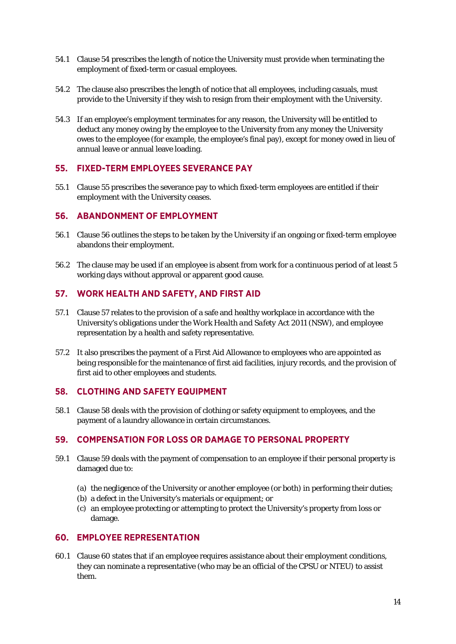- 54.1 Clause 54 prescribes the length of notice the University must provide when terminating the employment of fixed-term or casual employees.
- 54.2 The clause also prescribes the length of notice that all employees, including casuals, must provide to the University if they wish to resign from their employment with the University.
- 54.3 If an employee's employment terminates for any reason, the University will be entitled to deduct any money owing by the employee to the University from any money the University owes to the employee (for example, the employee's final pay), except for money owed in lieu of annual leave or annual leave loading.

## **55. FIXED-TERM EMPLOYEES SEVERANCE PAY**

55.1 Clause 55 prescribes the severance pay to which fixed-term employees are entitled if their employment with the University ceases.

#### **56. ABANDONMENT OF EMPLOYMENT**

- 56.1 Clause 56 outlines the steps to be taken by the University if an ongoing or fixed-term employee abandons their employment.
- 56.2 The clause may be used if an employee is absent from work for a continuous period of at least 5 working days without approval or apparent good cause.

## **57. WORK HEALTH AND SAFETY, AND FIRST AID**

- 57.1 Clause 57 relates to the provision of a safe and healthy workplace in accordance with the University's obligations under the *Work Health and Safety Act 2011 (NSW)*, and employee representation by a health and safety representative.
- 57.2 It also prescribes the payment of a First Aid Allowance to employees who are appointed as being responsible for the maintenance of first aid facilities, injury records, and the provision of first aid to other employees and students.

#### **58. CLOTHING AND SAFETY EQUIPMENT**

58.1 Clause 58 deals with the provision of clothing or safety equipment to employees, and the payment of a laundry allowance in certain circumstances.

## **59. COMPENSATION FOR LOSS OR DAMAGE TO PERSONAL PROPERTY**

- 59.1 Clause 59 deals with the payment of compensation to an employee if their personal property is damaged due to:
	- (a) the negligence of the University or another employee (or both) in performing their duties;
	- (b) a defect in the University's materials or equipment; or
	- (c) an employee protecting or attempting to protect the University's property from loss or damage.

# **60. EMPLOYEE REPRESENTATION**

60.1 Clause 60 states that if an employee requires assistance about their employment conditions, they can nominate a representative (who may be an official of the CPSU or NTEU) to assist them.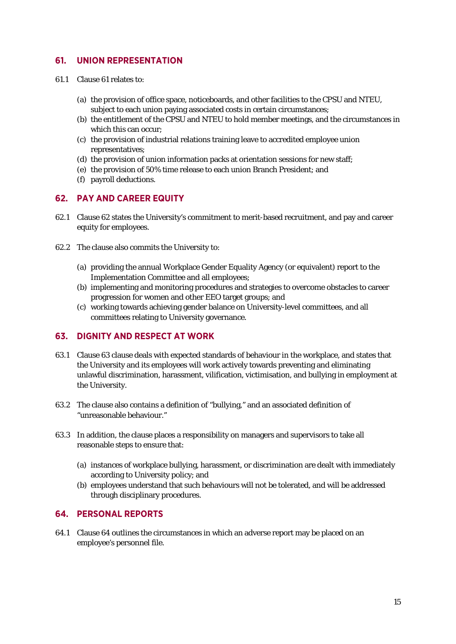# **61. UNION REPRESENTATION**

- 61.1 Clause 61 relates to:
	- (a) the provision of office space, noticeboards, and other facilities to the CPSU and NTEU, subject to each union paying associated costs in certain circumstances;
	- (b) the entitlement of the CPSU and NTEU to hold member meetings, and the circumstances in which this can occur;
	- (c) the provision of industrial relations training leave to accredited employee union representatives;
	- (d) the provision of union information packs at orientation sessions for new staff;
	- (e) the provision of 50% time release to each union Branch President; and
	- (f) payroll deductions.

## **62. PAY AND CAREER EQUITY**

- 62.1 Clause 62 states the University's commitment to merit-based recruitment, and pay and career equity for employees.
- 62.2 The clause also commits the University to:
	- (a) providing the annual Workplace Gender Equality Agency (or equivalent) report to the Implementation Committee and all employees;
	- (b) implementing and monitoring procedures and strategies to overcome obstacles to career progression for women and other EEO target groups; and
	- (c) working towards achieving gender balance on University-level committees, and all committees relating to University governance.

#### **63. DIGNITY AND RESPECT AT WORK**

- 63.1 Clause 63 clause deals with expected standards of behaviour in the workplace, and states that the University and its employees will work actively towards preventing and eliminating unlawful discrimination, harassment, vilification, victimisation, and bullying in employment at the University.
- 63.2 The clause also contains a definition of "bullying," and an associated definition of "unreasonable behaviour."
- 63.3 In addition, the clause places a responsibility on managers and supervisors to take all reasonable steps to ensure that:
	- (a) instances of workplace bullying, harassment, or discrimination are dealt with immediately according to University policy; and
	- (b) employees understand that such behaviours will not be tolerated, and will be addressed through disciplinary procedures.

#### **64. PERSONAL REPORTS**

64.1 Clause 64 outlines the circumstances in which an adverse report may be placed on an employee's personnel file.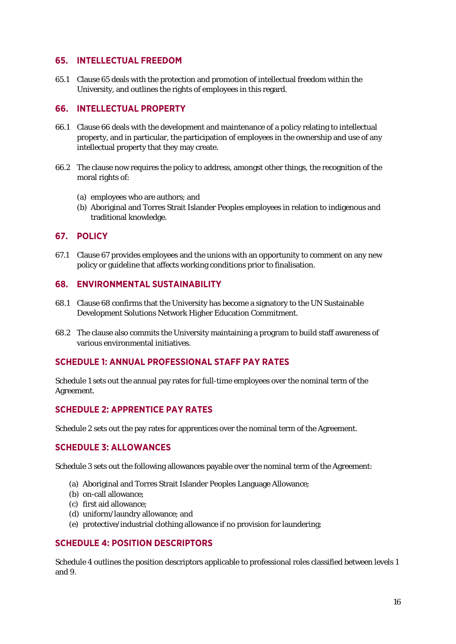#### **65. INTELLECTUAL FREEDOM**

65.1 Clause 65 deals with the protection and promotion of intellectual freedom within the University, and outlines the rights of employees in this regard.

#### **66. INTELLECTUAL PROPERTY**

- 66.1 Clause 66 deals with the development and maintenance of a policy relating to intellectual property, and in particular, the participation of employees in the ownership and use of any intellectual property that they may create.
- 66.2 The clause now requires the policy to address, amongst other things, the recognition of the moral rights of:
	- (a) employees who are authors; and
	- (b) Aboriginal and Torres Strait Islander Peoples employees in relation to indigenous and traditional knowledge.

## **67. POLICY**

67.1 Clause 67 provides employees and the unions with an opportunity to comment on any new policy or guideline that affects working conditions prior to finalisation.

#### **68. ENVIRONMENTAL SUSTAINABILITY**

- 68.1 Clause 68 confirms that the University has become a signatory to the UN Sustainable Development Solutions Network Higher Education Commitment.
- 68.2 The clause also commits the University maintaining a program to build staff awareness of various environmental initiatives.

## **SCHEDULE 1: ANNUAL PROFESSIONAL STAFF PAY RATES**

Schedule 1 sets out the annual pay rates for full-time employees over the nominal term of the Agreement.

## **SCHEDULE 2: APPRENTICE PAY RATES**

Schedule 2 sets out the pay rates for apprentices over the nominal term of the Agreement.

## **SCHEDULE 3: ALLOWANCES**

Schedule 3 sets out the following allowances payable over the nominal term of the Agreement:

- (a) Aboriginal and Torres Strait Islander Peoples Language Allowance;
- (b) on-call allowance;
- (c) first aid allowance;
- (d) uniform/laundry allowance; and
- (e) protective/industrial clothing allowance if no provision for laundering;

## **SCHEDULE 4: POSITION DESCRIPTORS**

Schedule 4 outlines the position descriptors applicable to professional roles classified between levels 1 and 9.